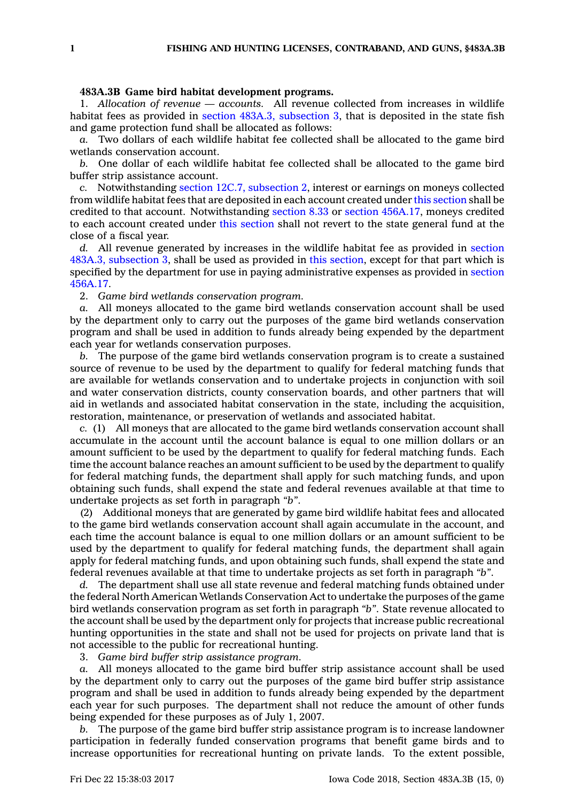## **483A.3B Game bird habitat development programs.**

1. *Allocation of revenue — accounts.* All revenue collected from increases in wildlife habitat fees as provided in section 483A.3, [subsection](https://www.legis.iowa.gov/docs/code/483A.3.pdf) 3, that is deposited in the state fish and game protection fund shall be allocated as follows:

*a.* Two dollars of each wildlife habitat fee collected shall be allocated to the game bird wetlands conservation account.

*b.* One dollar of each wildlife habitat fee collected shall be allocated to the game bird buffer strip assistance account.

*c.* Notwithstanding section 12C.7, [subsection](https://www.legis.iowa.gov/docs/code/12C.7.pdf) 2, interest or earnings on moneys collected from wildlife habitat fees that are deposited in each account created under this [section](https://www.legis.iowa.gov/docs/code/483A.3B.pdf) shall be credited to that account. Notwithstanding [section](https://www.legis.iowa.gov/docs/code/8.33.pdf) 8.33 or section [456A.17](https://www.legis.iowa.gov/docs/code/456A.17.pdf), moneys credited to each account created under this [section](https://www.legis.iowa.gov/docs/code/483A.3B.pdf) shall not revert to the state general fund at the close of <sup>a</sup> fiscal year.

*d.* All revenue generated by increases in the wildlife habitat fee as provided in [section](https://www.legis.iowa.gov/docs/code/483A.3.pdf) 483A.3, [subsection](https://www.legis.iowa.gov/docs/code/483A.3.pdf) 3, shall be used as provided in this [section](https://www.legis.iowa.gov/docs/code/483A.3B.pdf), except for that part which is specified by the department for use in paying administrative expenses as provided in [section](https://www.legis.iowa.gov/docs/code/456A.17.pdf) [456A.17](https://www.legis.iowa.gov/docs/code/456A.17.pdf).

2. *Game bird wetlands conservation program.*

*a.* All moneys allocated to the game bird wetlands conservation account shall be used by the department only to carry out the purposes of the game bird wetlands conservation program and shall be used in addition to funds already being expended by the department each year for wetlands conservation purposes.

*b.* The purpose of the game bird wetlands conservation program is to create <sup>a</sup> sustained source of revenue to be used by the department to qualify for federal matching funds that are available for wetlands conservation and to undertake projects in conjunction with soil and water conservation districts, county conservation boards, and other partners that will aid in wetlands and associated habitat conservation in the state, including the acquisition, restoration, maintenance, or preservation of wetlands and associated habitat.

*c.* (1) All moneys that are allocated to the game bird wetlands conservation account shall accumulate in the account until the account balance is equal to one million dollars or an amount sufficient to be used by the department to qualify for federal matching funds. Each time the account balance reaches an amount sufficient to be used by the department to qualify for federal matching funds, the department shall apply for such matching funds, and upon obtaining such funds, shall expend the state and federal revenues available at that time to undertake projects as set forth in paragraph *"b"*.

(2) Additional moneys that are generated by game bird wildlife habitat fees and allocated to the game bird wetlands conservation account shall again accumulate in the account, and each time the account balance is equal to one million dollars or an amount sufficient to be used by the department to qualify for federal matching funds, the department shall again apply for federal matching funds, and upon obtaining such funds, shall expend the state and federal revenues available at that time to undertake projects as set forth in paragraph *"b"*.

*d.* The department shall use all state revenue and federal matching funds obtained under the federal North American Wetlands Conservation Act to undertake the purposes of the game bird wetlands conservation program as set forth in paragraph *"b"*. State revenue allocated to the account shall be used by the department only for projects that increase public recreational hunting opportunities in the state and shall not be used for projects on private land that is not accessible to the public for recreational hunting.

3. *Game bird buffer strip assistance program.*

*a.* All moneys allocated to the game bird buffer strip assistance account shall be used by the department only to carry out the purposes of the game bird buffer strip assistance program and shall be used in addition to funds already being expended by the department each year for such purposes. The department shall not reduce the amount of other funds being expended for these purposes as of July 1, 2007.

*b.* The purpose of the game bird buffer strip assistance program is to increase landowner participation in federally funded conservation programs that benefit game birds and to increase opportunities for recreational hunting on private lands. To the extent possible,